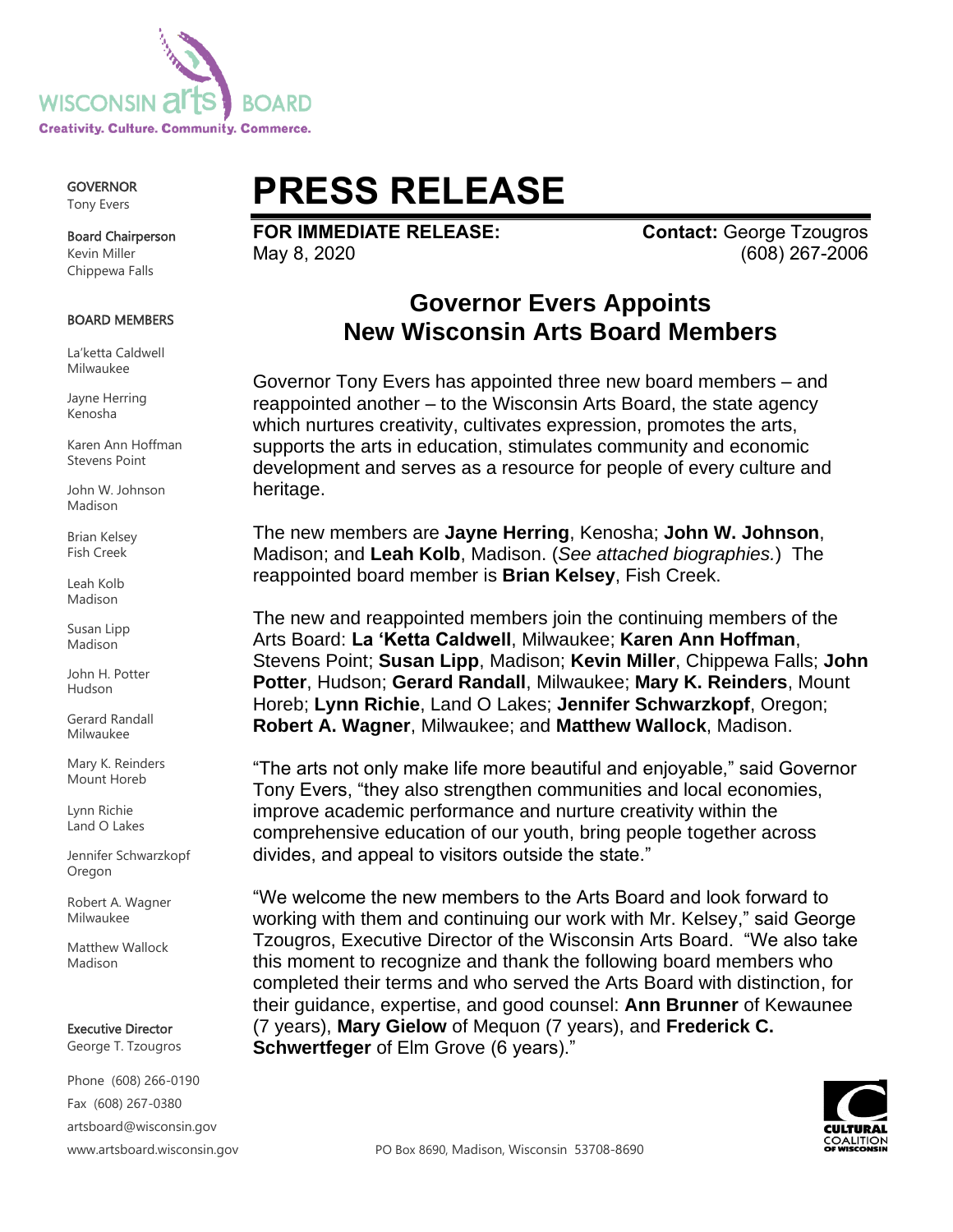

GOVERNOR Tony Evers

Board Chairperson Kevin Miller Chippewa Falls

#### BOARD MEMBERS

La'ketta Caldwell Milwaukee

Jayne Herring Kenosha

Karen Ann Hoffman Stevens Point

John W. Johnson Madison

Brian Kelsey Fish Creek

Leah Kolb Madison

Susan Lipp Madison

John H. Potter Hudson

Gerard Randall Milwaukee

Mary K. Reinders Mount Horeb

Lynn Richie Land O Lakes

Jennifer Schwarzkopf Oregon

Robert A. Wagner Milwaukee

Matthew Wallock Madison

Executive Director George T. Tzougros

Phone (608) 266-0190

Fax (608) 267-0380 artsboard@wisconsin.gov

# **PRESS RELEASE**

**FOR IMMEDIATE RELEASE: Contact: George Tzougros** May 8, 2020 (608) 267-2006

## **Governor Evers Appoints New Wisconsin Arts Board Members**

Governor Tony Evers has appointed three new board members – and reappointed another – to the Wisconsin Arts Board, the state agency which nurtures creativity, cultivates expression, promotes the arts, supports the arts in education, stimulates community and economic development and serves as a resource for people of every culture and heritage.

The new members are **Jayne Herring**, Kenosha; **John W. Johnson**, Madison; and **Leah Kolb**, Madison. (*See attached biographies.*) The reappointed board member is **Brian Kelsey**, Fish Creek.

The new and reappointed members join the continuing members of the Arts Board: **La 'Ketta Caldwell**, Milwaukee; **Karen Ann Hoffman**, Stevens Point; **Susan Lipp**, Madison; **Kevin Miller**, Chippewa Falls; **John Potter**, Hudson; **Gerard Randall**, Milwaukee; **Mary K. Reinders**, Mount Horeb; **Lynn Richie**, Land O Lakes; **Jennifer Schwarzkopf**, Oregon; **Robert A. Wagner**, Milwaukee; and **Matthew Wallock**, Madison.

"The arts not only make life more beautiful and enjoyable," said Governor Tony Evers, "they also strengthen communities and local economies, improve academic performance and nurture creativity within the comprehensive education of our youth, bring people together across divides, and appeal to visitors outside the state."

"We welcome the new members to the Arts Board and look forward to working with them and continuing our work with Mr. Kelsey," said George Tzougros, Executive Director of the Wisconsin Arts Board. "We also take this moment to recognize and thank the following board members who completed their terms and who served the Arts Board with distinction, for their guidance, expertise, and good counsel: **Ann Brunner** of Kewaunee (7 years), **Mary Gielow** of Mequon (7 years), and **Frederick C. Schwertfeger** of Elm Grove (6 years)."

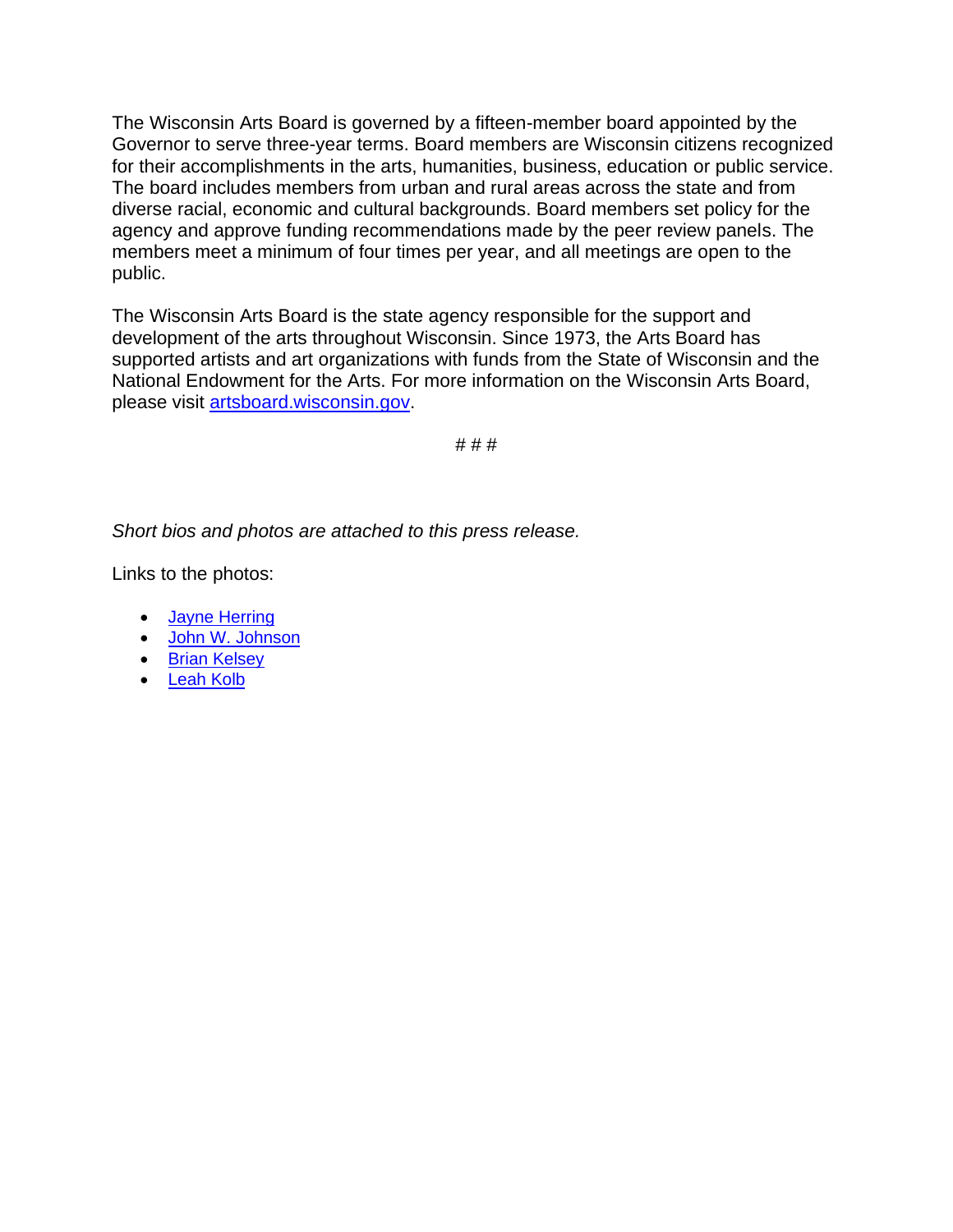The Wisconsin Arts Board is governed by a fifteen-member board appointed by the Governor to serve three-year terms. Board members are Wisconsin citizens recognized for their accomplishments in the arts, humanities, business, education or public service. The board includes members from urban and rural areas across the state and from diverse racial, economic and cultural backgrounds. Board members set policy for the agency and approve funding recommendations made by the peer review panels. The members meet a minimum of four times per year, and all meetings are open to the public.

The Wisconsin Arts Board is the state agency responsible for the support and development of the arts throughout Wisconsin. Since 1973, the Arts Board has supported artists and art organizations with funds from the State of Wisconsin and the National Endowment for the Arts. For more information on the Wisconsin Arts Board, please visit [artsboard.wisconsin.gov.](https://artsboard.wisconsin.gov/)

# # #

*Short bios and photos are attached to this press release.*

Links to the photos:

- [Jayne Herring](https://artsboard.wisconsin.gov/PublishingImages/Pages/AboutWAB/Board%20Pictures/JayneHerring.jpg)
- [John W. Johnson](https://artsboard.wisconsin.gov/PublishingImages/Pages/AboutWAB/Board%20Pictures/JohnWJohnson.jpg)
- [Brian Kelsey](https://artsboard.wisconsin.gov/PublishingImages/Pages/AboutWAB/Board%20Pictures/BrianKelsey2.jpg)
- [Leah Kolb](https://artsboard.wisconsin.gov/PublishingImages/Pages/AboutWAB/Board%20Pictures/leahkolb.jpg)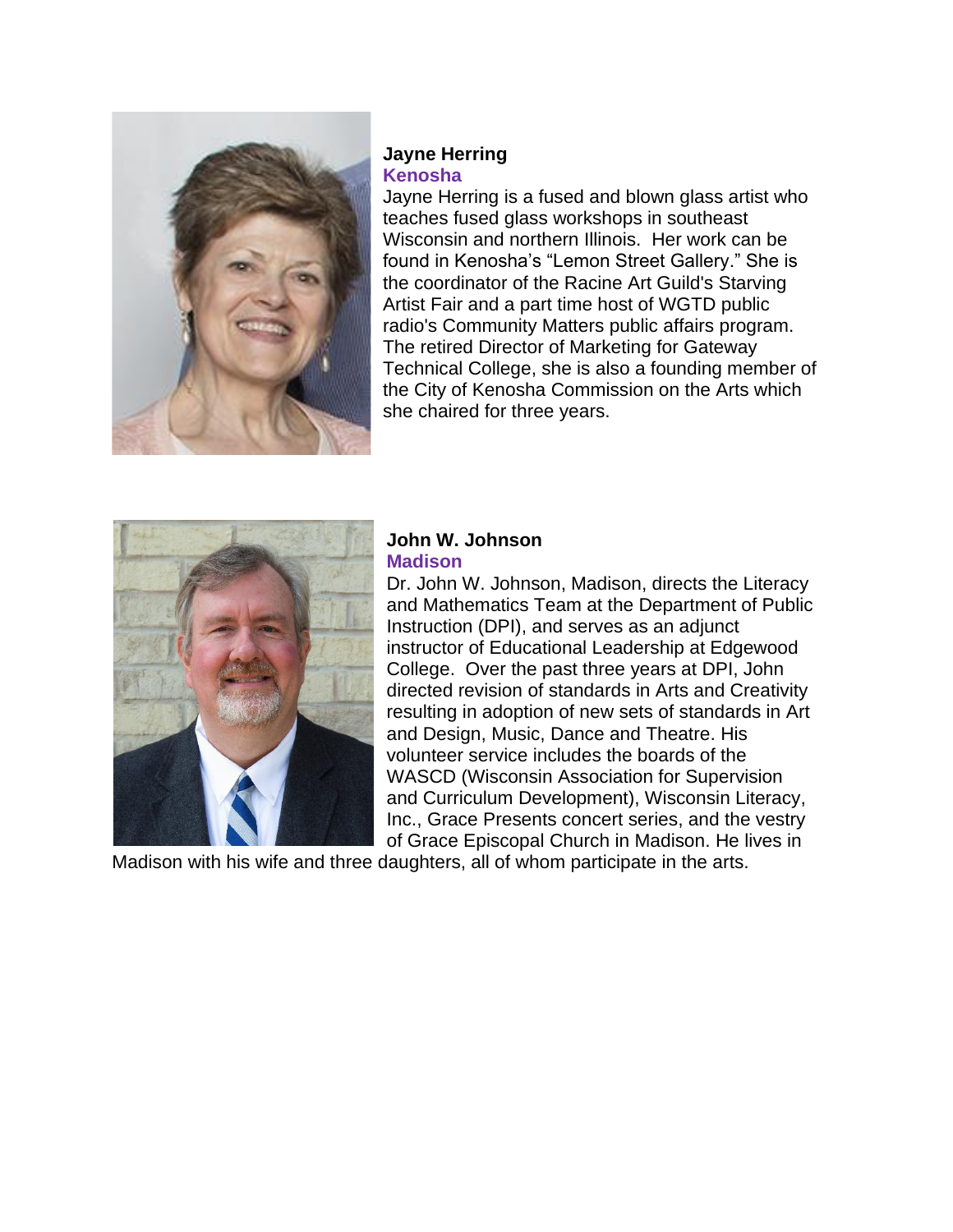

#### **Jayne Herring Kenosha**

Jayne Herring is a fused and blown glass artist who teaches fused glass workshops in southeast Wisconsin and northern Illinois. Her work can be found in Kenosha's "Lemon Street Gallery." She is the coordinator of the Racine Art Guild's Starving Artist Fair and a part time host of WGTD public radio's Community Matters public affairs program. The retired Director of Marketing for Gateway Technical College, she is also a founding member of the City of Kenosha Commission on the Arts which she chaired for three years.



### **John W. Johnson Madison**

Dr. John W. Johnson, Madison, directs the Literacy and Mathematics Team at the Department of Public Instruction (DPI), and serves as an adjunct instructor of Educational Leadership at Edgewood College. Over the past three years at DPI, John directed revision of standards in Arts and Creativity resulting in adoption of new sets of standards in Art and Design, Music, Dance and Theatre. His volunteer service includes the boards of the WASCD (Wisconsin Association for Supervision and Curriculum Development), Wisconsin Literacy, Inc., Grace Presents concert series, and the vestry of Grace Episcopal Church in Madison. He lives in

Madison with his wife and three daughters, all of whom participate in the arts.